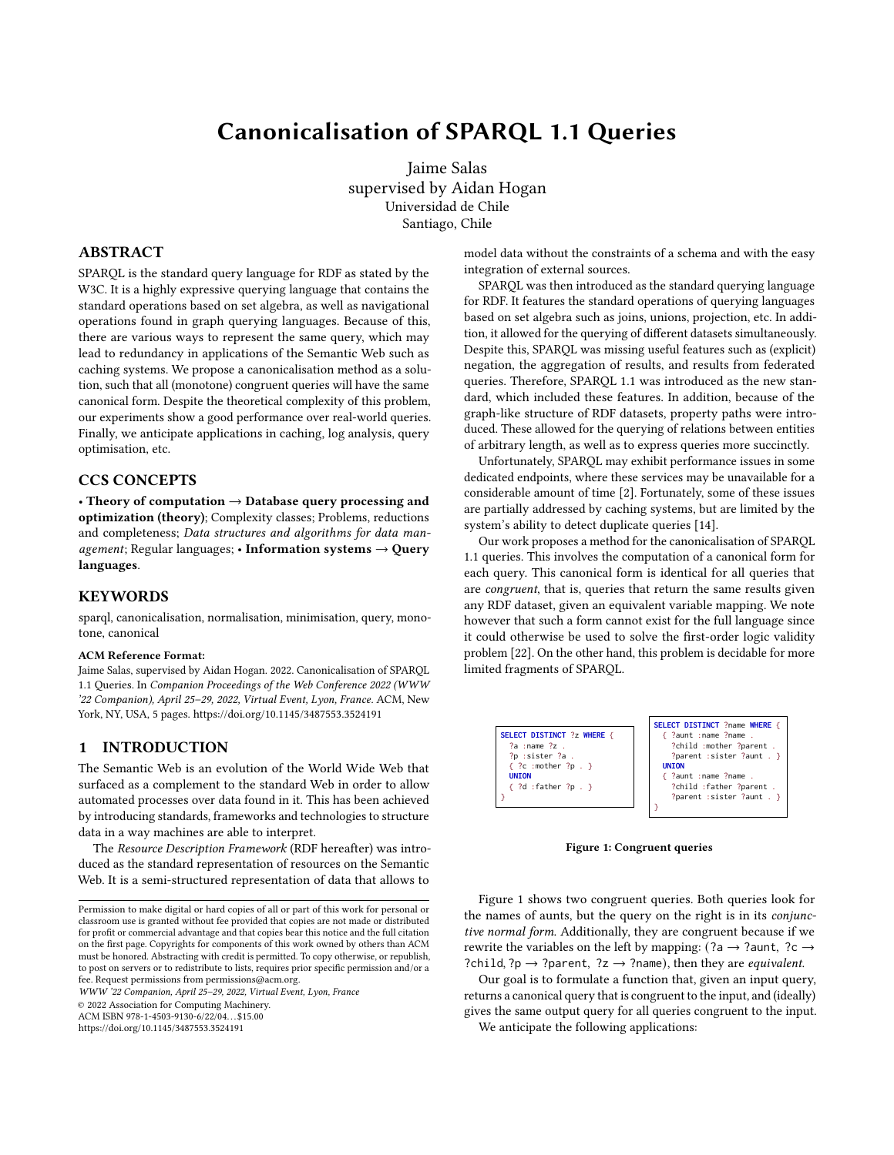# Canonicalisation of SPARQL 1.1 Queries

Jaime Salas supervised by Aidan Hogan Universidad de Chile Santiago, Chile

## ABSTRACT

SPARQL is the standard query language for RDF as stated by the W3C. It is a highly expressive querying language that contains the standard operations based on set algebra, as well as navigational operations found in graph querying languages. Because of this, there are various ways to represent the same query, which may lead to redundancy in applications of the Semantic Web such as caching systems. We propose a canonicalisation method as a solution, such that all (monotone) congruent queries will have the same canonical form. Despite the theoretical complexity of this problem, our experiments show a good performance over real-world queries. Finally, we anticipate applications in caching, log analysis, query optimisation, etc.

# CCS CONCEPTS

• Theory of computation  $\rightarrow$  Database query processing and optimization (theory); Complexity classes; Problems, reductions and completeness; Data structures and algorithms for data management; Regular languages; • Information systems  $\rightarrow$  Query languages.

## **KEYWORDS**

sparql, canonicalisation, normalisation, minimisation, query, monotone, canonical

## ACM Reference Format:

Jaime Salas, supervised by Aidan Hogan. 2022. Canonicalisation of SPARQL 1.1 Queries. In Companion Proceedings of the Web Conference 2022 (WWW '22 Companion), April 25–29, 2022, Virtual Event, Lyon, France. ACM, New York, NY, USA, [5](#page-4-0) pages.<https://doi.org/10.1145/3487553.3524191>

## 1 INTRODUCTION

The Semantic Web is an evolution of the World Wide Web that surfaced as a complement to the standard Web in order to allow automated processes over data found in it. This has been achieved by introducing standards, frameworks and technologies to structure data in a way machines are able to interpret.

The Resource Description Framework (RDF hereafter) was introduced as the standard representation of resources on the Semantic Web. It is a semi-structured representation of data that allows to

WWW '22 Companion, April 25–29, 2022, Virtual Event, Lyon, France

© 2022 Association for Computing Machinery.

ACM ISBN 978-1-4503-9130-6/22/04. . . \$15.00

<https://doi.org/10.1145/3487553.3524191>

model data without the constraints of a schema and with the easy integration of external sources.

SPARQL was then introduced as the standard querying language for RDF. It features the standard operations of querying languages based on set algebra such as joins, unions, projection, etc. In addition, it allowed for the querying of different datasets simultaneously. Despite this, SPARQL was missing useful features such as (explicit) negation, the aggregation of results, and results from federated queries. Therefore, SPARQL 1.1 was introduced as the new standard, which included these features. In addition, because of the graph-like structure of RDF datasets, property paths were introduced. These allowed for the querying of relations between entities of arbitrary length, as well as to express queries more succinctly.

Unfortunately, SPARQL may exhibit performance issues in some dedicated endpoints, where these services may be unavailable for a considerable amount of time [\[2\]](#page-4-1). Fortunately, some of these issues are partially addressed by caching systems, but are limited by the system's ability to detect duplicate queries [\[14\]](#page-4-2).

Our work proposes a method for the canonicalisation of SPARQL 1.1 queries. This involves the computation of a canonical form for each query. This canonical form is identical for all queries that are congruent, that is, queries that return the same results given any RDF dataset, given an equivalent variable mapping. We note however that such a form cannot exist for the full language since it could otherwise be used to solve the first-order logic validity problem [\[22\]](#page-4-3). On the other hand, this problem is decidable for more limited fragments of SPARQL.

<span id="page-0-0"></span>

Figure 1: Congruent queries

Figure [1](#page-0-0) shows two congruent queries. Both queries look for the names of aunts, but the query on the right is in its conjunctive normal form. Additionally, they are congruent because if we rewrite the variables on the left by mapping: (?a  $\rightarrow$  ?aunt, ?c  $\rightarrow$ ?child, ?p  $\rightarrow$  ?parent, ?z  $\rightarrow$  ?name), then they are *equivalent*.

Our goal is to formulate a function that, given an input query, returns a canonical query that is congruent to the input, and (ideally) gives the same output query for all queries congruent to the input.

We anticipate the following applications:

Permission to make digital or hard copies of all or part of this work for personal or classroom use is granted without fee provided that copies are not made or distributed for profit or commercial advantage and that copies bear this notice and the full citation on the first page. Copyrights for components of this work owned by others than ACM must be honored. Abstracting with credit is permitted. To copy otherwise, or republish, to post on servers or to redistribute to lists, requires prior specific permission and/or a fee. Request permissions from permissions@acm.org.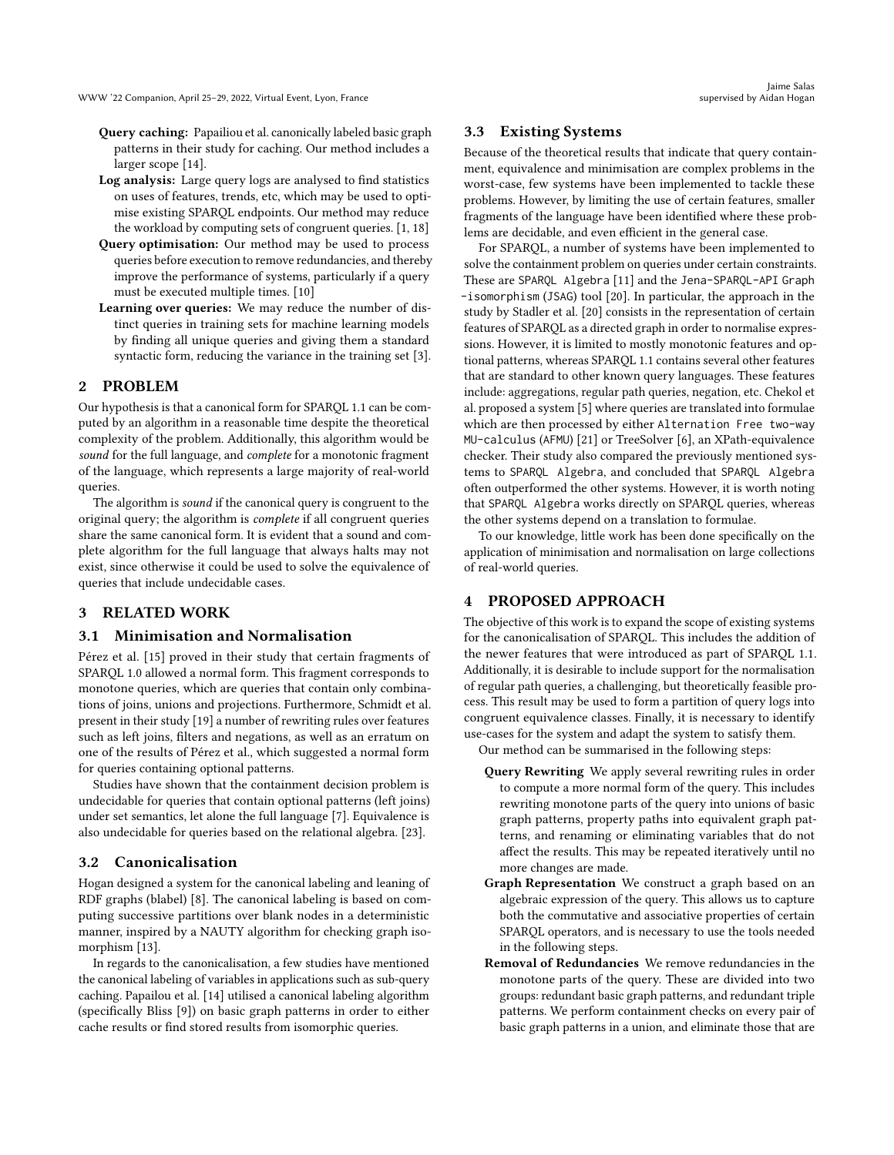- Query caching: Papailiou et al. canonically labeled basic graph patterns in their study for caching. Our method includes a larger scope [\[14\]](#page-4-2).
- Log analysis: Large query logs are analysed to find statistics on uses of features, trends, etc, which may be used to optimise existing SPARQL endpoints. Our method may reduce the workload by computing sets of congruent queries. [\[1,](#page-4-4) [18\]](#page-4-5)
- Query optimisation: Our method may be used to process queries before execution to remove redundancies, and thereby improve the performance of systems, particularly if a query must be executed multiple times. [\[10\]](#page-4-6)
- Learning over queries: We may reduce the number of distinct queries in training sets for machine learning models by finding all unique queries and giving them a standard syntactic form, reducing the variance in the training set [\[3\]](#page-4-7).

## 2 PROBLEM

Our hypothesis is that a canonical form for SPARQL 1.1 can be computed by an algorithm in a reasonable time despite the theoretical complexity of the problem. Additionally, this algorithm would be sound for the full language, and complete for a monotonic fragment of the language, which represents a large majority of real-world queries.

The algorithm is sound if the canonical query is congruent to the original query; the algorithm is complete if all congruent queries share the same canonical form. It is evident that a sound and complete algorithm for the full language that always halts may not exist, since otherwise it could be used to solve the equivalence of queries that include undecidable cases.

# 3 RELATED WORK

## 3.1 Minimisation and Normalisation

Pérez et al. [\[15\]](#page-4-8) proved in their study that certain fragments of SPARQL 1.0 allowed a normal form. This fragment corresponds to monotone queries, which are queries that contain only combinations of joins, unions and projections. Furthermore, Schmidt et al. present in their study [\[19\]](#page-4-9) a number of rewriting rules over features such as left joins, filters and negations, as well as an erratum on one of the results of Pérez et al., which suggested a normal form for queries containing optional patterns.

Studies have shown that the containment decision problem is undecidable for queries that contain optional patterns (left joins) under set semantics, let alone the full language [\[7\]](#page-4-10). Equivalence is also undecidable for queries based on the relational algebra. [\[23\]](#page-4-11).

## 3.2 Canonicalisation

Hogan designed a system for the canonical labeling and leaning of RDF graphs (blabel) [\[8\]](#page-4-12). The canonical labeling is based on computing successive partitions over blank nodes in a deterministic manner, inspired by a NAUTY algorithm for checking graph isomorphism [\[13\]](#page-4-13).

In regards to the canonicalisation, a few studies have mentioned the canonical labeling of variables in applications such as sub-query caching. Papailou et al. [\[14\]](#page-4-2) utilised a canonical labeling algorithm (specifically Bliss [\[9\]](#page-4-14)) on basic graph patterns in order to either cache results or find stored results from isomorphic queries.

## 3.3 Existing Systems

Because of the theoretical results that indicate that query containment, equivalence and minimisation are complex problems in the worst-case, few systems have been implemented to tackle these problems. However, by limiting the use of certain features, smaller fragments of the language have been identified where these problems are decidable, and even efficient in the general case.

For SPARQL, a number of systems have been implemented to solve the containment problem on queries under certain constraints. These are SPARQL Algebra [\[11\]](#page-4-15) and the Jena-SPARQL-API Graph -isomorphism (JSAG) tool [\[20\]](#page-4-16). In particular, the approach in the study by Stadler et al. [\[20\]](#page-4-16) consists in the representation of certain features of SPARQL as a directed graph in order to normalise expressions. However, it is limited to mostly monotonic features and optional patterns, whereas SPARQL 1.1 contains several other features that are standard to other known query languages. These features include: aggregations, regular path queries, negation, etc. Chekol et al. proposed a system [\[5\]](#page-4-17) where queries are translated into formulae which are then processed by either Alternation Free two-way MU-calculus (AFMU) [\[21\]](#page-4-18) or TreeSolver [\[6\]](#page-4-19), an XPath-equivalence checker. Their study also compared the previously mentioned systems to SPARQL Algebra, and concluded that SPARQL Algebra often outperformed the other systems. However, it is worth noting that SPARQL Algebra works directly on SPARQL queries, whereas the other systems depend on a translation to formulae.

To our knowledge, little work has been done specifically on the application of minimisation and normalisation on large collections of real-world queries.

# 4 PROPOSED APPROACH

The objective of this work is to expand the scope of existing systems for the canonicalisation of SPARQL. This includes the addition of the newer features that were introduced as part of SPARQL 1.1. Additionally, it is desirable to include support for the normalisation of regular path queries, a challenging, but theoretically feasible process. This result may be used to form a partition of query logs into congruent equivalence classes. Finally, it is necessary to identify use-cases for the system and adapt the system to satisfy them.

Our method can be summarised in the following steps:

- Query Rewriting We apply several rewriting rules in order to compute a more normal form of the query. This includes rewriting monotone parts of the query into unions of basic graph patterns, property paths into equivalent graph patterns, and renaming or eliminating variables that do not affect the results. This may be repeated iteratively until no more changes are made.
- Graph Representation We construct a graph based on an algebraic expression of the query. This allows us to capture both the commutative and associative properties of certain SPARQL operators, and is necessary to use the tools needed in the following steps.
- Removal of Redundancies We remove redundancies in the monotone parts of the query. These are divided into two groups: redundant basic graph patterns, and redundant triple patterns. We perform containment checks on every pair of basic graph patterns in a union, and eliminate those that are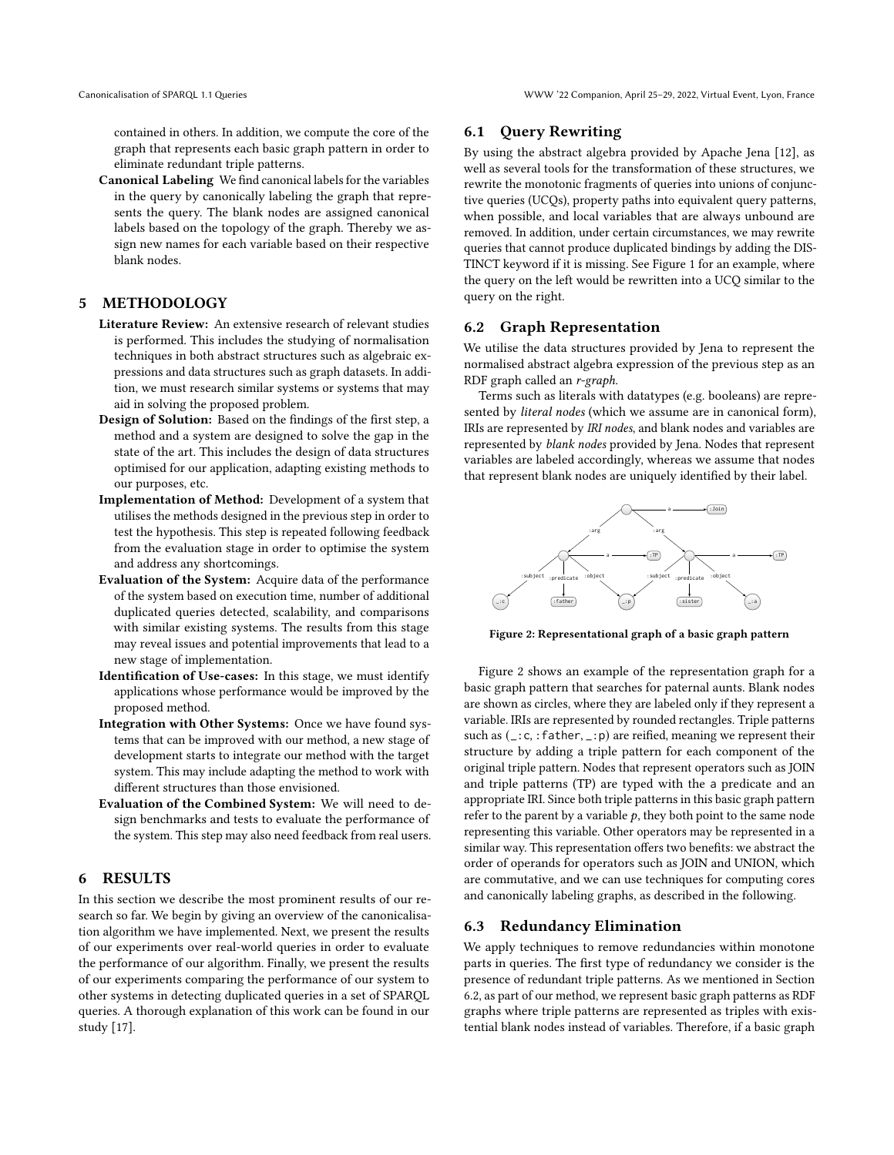contained in others. In addition, we compute the core of the graph that represents each basic graph pattern in order to eliminate redundant triple patterns.

Canonical Labeling We find canonical labels for the variables in the query by canonically labeling the graph that represents the query. The blank nodes are assigned canonical labels based on the topology of the graph. Thereby we assign new names for each variable based on their respective blank nodes.

## 5 METHODOLOGY

- Literature Review: An extensive research of relevant studies is performed. This includes the studying of normalisation techniques in both abstract structures such as algebraic expressions and data structures such as graph datasets. In addition, we must research similar systems or systems that may aid in solving the proposed problem.
- Design of Solution: Based on the findings of the first step, a method and a system are designed to solve the gap in the state of the art. This includes the design of data structures optimised for our application, adapting existing methods to our purposes, etc.
- Implementation of Method: Development of a system that utilises the methods designed in the previous step in order to test the hypothesis. This step is repeated following feedback from the evaluation stage in order to optimise the system and address any shortcomings.
- Evaluation of the System: Acquire data of the performance of the system based on execution time, number of additional duplicated queries detected, scalability, and comparisons with similar existing systems. The results from this stage may reveal issues and potential improvements that lead to a new stage of implementation.
- Identification of Use-cases: In this stage, we must identify applications whose performance would be improved by the proposed method.
- Integration with Other Systems: Once we have found systems that can be improved with our method, a new stage of development starts to integrate our method with the target system. This may include adapting the method to work with different structures than those envisioned.
- Evaluation of the Combined System: We will need to design benchmarks and tests to evaluate the performance of the system. This step may also need feedback from real users.

# 6 RESULTS

In this section we describe the most prominent results of our research so far. We begin by giving an overview of the canonicalisation algorithm we have implemented. Next, we present the results of our experiments over real-world queries in order to evaluate the performance of our algorithm. Finally, we present the results of our experiments comparing the performance of our system to other systems in detecting duplicated queries in a set of SPARQL queries. A thorough explanation of this work can be found in our study [\[17\]](#page-4-20).

## 6.1 Query Rewriting

By using the abstract algebra provided by Apache Jena [\[12\]](#page-4-21), as well as several tools for the transformation of these structures, we rewrite the monotonic fragments of queries into unions of conjunctive queries (UCQs), property paths into equivalent query patterns, when possible, and local variables that are always unbound are removed. In addition, under certain circumstances, we may rewrite queries that cannot produce duplicated bindings by adding the DIS-TINCT keyword if it is missing. See Figure [1](#page-0-0) for an example, where the query on the left would be rewritten into a UCQ similar to the query on the right.

## <span id="page-2-1"></span>6.2 Graph Representation

We utilise the data structures provided by Jena to represent the normalised abstract algebra expression of the previous step as an RDF graph called an r-graph.

Terms such as literals with datatypes (e.g. booleans) are represented by literal nodes (which we assume are in canonical form), IRIs are represented by IRI nodes, and blank nodes and variables are represented by blank nodes provided by Jena. Nodes that represent variables are labeled accordingly, whereas we assume that nodes that represent blank nodes are uniquely identified by their label.

<span id="page-2-0"></span>

Figure 2: Representational graph of a basic graph pattern

Figure [2](#page-2-0) shows an example of the representation graph for a basic graph pattern that searches for paternal aunts. Blank nodes are shown as circles, where they are labeled only if they represent a variable. IRIs are represented by rounded rectangles. Triple patterns such as  $(\_:\c,:\f{father},\dot{=}:\rho)$  are reified, meaning we represent their structure by adding a triple pattern for each component of the original triple pattern. Nodes that represent operators such as JOIN and triple patterns (TP) are typed with the a predicate and an appropriate IRI. Since both triple patterns in this basic graph pattern refer to the parent by a variable  $p$ , they both point to the same node representing this variable. Other operators may be represented in a similar way. This representation offers two benefits: we abstract the order of operands for operators such as JOIN and UNION, which are commutative, and we can use techniques for computing cores and canonically labeling graphs, as described in the following.

#### 6.3 Redundancy Elimination

We apply techniques to remove redundancies within monotone parts in queries. The first type of redundancy we consider is the presence of redundant triple patterns. As we mentioned in Section [6.2,](#page-2-1) as part of our method, we represent basic graph patterns as RDF graphs where triple patterns are represented as triples with existential blank nodes instead of variables. Therefore, if a basic graph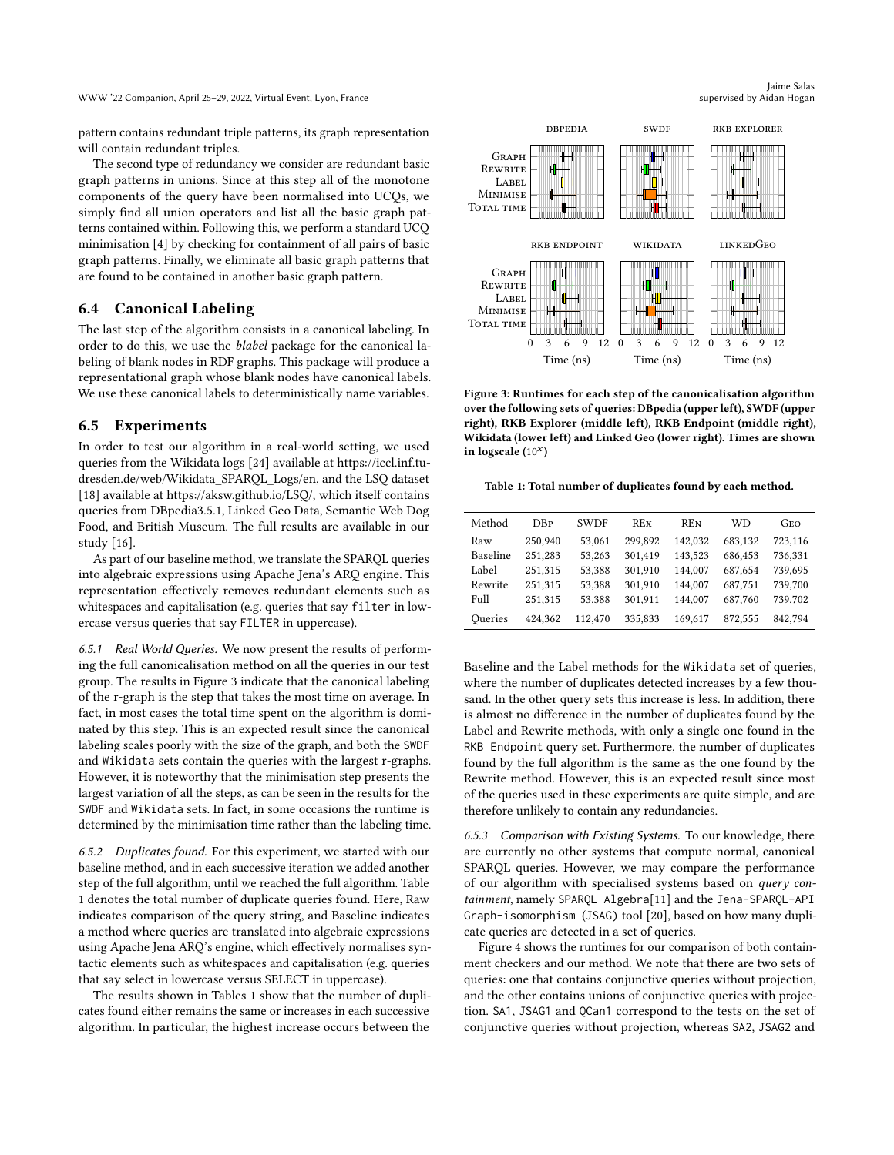pattern contains redundant triple patterns, its graph representation will contain redundant triples.

The second type of redundancy we consider are redundant basic graph patterns in unions. Since at this step all of the monotone components of the query have been normalised into UCQs, we simply find all union operators and list all the basic graph patterns contained within. Following this, we perform a standard UCQ minimisation [\[4\]](#page-4-22) by checking for containment of all pairs of basic graph patterns. Finally, we eliminate all basic graph patterns that are found to be contained in another basic graph pattern.

## 6.4 Canonical Labeling

The last step of the algorithm consists in a canonical labeling. In order to do this, we use the blabel package for the canonical labeling of blank nodes in RDF graphs. This package will produce a representational graph whose blank nodes have canonical labels. We use these canonical labels to deterministically name variables.

#### 6.5 Experiments

In order to test our algorithm in a real-world setting, we used queries from the Wikidata logs [\[24\]](#page-4-23) available at [https://iccl.inf.tu](https://iccl.inf.tu-dresden.de/web/Wikidata_SPARQL_Logs/en)[dresden.de/web/Wikidata\\_SPARQL\\_Logs/en,](https://iccl.inf.tu-dresden.de/web/Wikidata_SPARQL_Logs/en) and the LSQ dataset [\[18\]](#page-4-5) available at [https://aksw.github.io/LSQ/,](https://aksw.github.io/LSQ/) which itself contains queries from DBpedia3.5.1, Linked Geo Data, Semantic Web Dog Food, and British Museum. The full results are available in our study [\[16\]](#page-4-24).

As part of our baseline method, we translate the SPARQL queries into algebraic expressions using Apache Jena's ARQ engine. This representation effectively removes redundant elements such as whitespaces and capitalisation (e.g. queries that say filter in lowercase versus queries that say FILTER in uppercase).

6.5.1 Real World Queries. We now present the results of performing the full canonicalisation method on all the queries in our test group. The results in Figure [3](#page-3-0) indicate that the canonical labeling of the r-graph is the step that takes the most time on average. In fact, in most cases the total time spent on the algorithm is dominated by this step. This is an expected result since the canonical labeling scales poorly with the size of the graph, and both the SWDF and Wikidata sets contain the queries with the largest r-graphs. However, it is noteworthy that the minimisation step presents the largest variation of all the steps, as can be seen in the results for the SWDF and Wikidata sets. In fact, in some occasions the runtime is determined by the minimisation time rather than the labeling time.

6.5.2 Duplicates found. For this experiment, we started with our baseline method, and in each successive iteration we added another step of the full algorithm, until we reached the full algorithm. Table [1](#page-3-1) denotes the total number of duplicate queries found. Here, Raw indicates comparison of the query string, and Baseline indicates a method where queries are translated into algebraic expressions using Apache Jena ARQ's engine, which effectively normalises syntactic elements such as whitespaces and capitalisation (e.g. queries that say select in lowercase versus SELECT in uppercase).

The results shown in Tables [1](#page-3-1) show that the number of duplicates found either remains the same or increases in each successive algorithm. In particular, the highest increase occurs between the

Jaime Salas supervised by Aidan Hogan

<span id="page-3-0"></span>

Figure 3: Runtimes for each step of the canonicalisation algorithm over the following sets of queries: DBpedia (upper left), SWDF (upper right), RKB Explorer (middle left), RKB Endpoint (middle right), Wikidata (lower left) and Linked Geo (lower right). Times are shown in logscale  $(10^x)$ 

<span id="page-3-1"></span>Table 1: Total number of duplicates found by each method.

| Method   | <b>D</b> <sub>R</sub> | <b>SWDF</b> | REx     | <b>REN</b> | WD      | GEO     |
|----------|-----------------------|-------------|---------|------------|---------|---------|
| Raw      | 250.940               | 53,061      | 299.892 | 142.032    | 683.132 | 723.116 |
| Baseline | 251.283               | 53.263      | 301.419 | 143.523    | 686.453 | 736.331 |
| Label    | 251.315               | 53.388      | 301.910 | 144,007    | 687.654 | 739,695 |
| Rewrite  | 251.315               | 53.388      | 301.910 | 144,007    | 687.751 | 739,700 |
| Full     | 251.315               | 53.388      | 301.911 | 144,007    | 687.760 | 739,702 |
| Oueries  | 424.362               | 112,470     | 335.833 | 169.617    | 872.555 | 842.794 |

Baseline and the Label methods for the Wikidata set of queries, where the number of duplicates detected increases by a few thousand. In the other query sets this increase is less. In addition, there is almost no difference in the number of duplicates found by the Label and Rewrite methods, with only a single one found in the RKB Endpoint query set. Furthermore, the number of duplicates found by the full algorithm is the same as the one found by the Rewrite method. However, this is an expected result since most of the queries used in these experiments are quite simple, and are therefore unlikely to contain any redundancies.

6.5.3 Comparison with Existing Systems. To our knowledge, there are currently no other systems that compute normal, canonical SPARQL queries. However, we may compare the performance of our algorithm with specialised systems based on query containment, namely SPARQL Algebra[\[11\]](#page-4-15) and the Jena-SPARQL-API Graph-isomorphism (JSAG) tool [\[20\]](#page-4-16), based on how many duplicate queries are detected in a set of queries.

Figure [4](#page-4-25) shows the runtimes for our comparison of both containment checkers and our method. We note that there are two sets of queries: one that contains conjunctive queries without projection, and the other contains unions of conjunctive queries with projection. SA1, JSAG1 and QCan1 correspond to the tests on the set of conjunctive queries without projection, whereas SA2, JSAG2 and